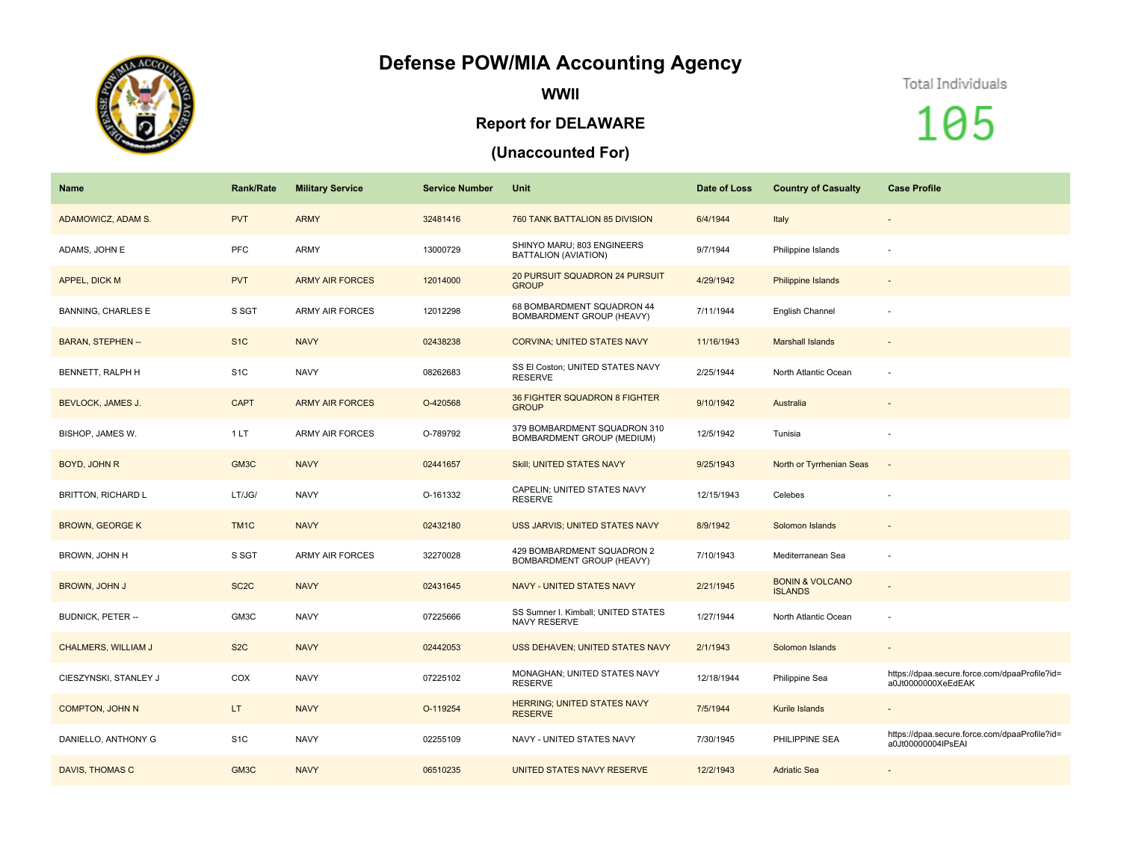## **Defense POW/MIA Accounting Agency**



**WWII**

## **Report for DELAWARE**

## **(Unaccounted For)**

## Total Individuals

105

| Name                       | <b>Rank/Rate</b>  | <b>Military Service</b> | <b>Service Number</b> | Unit                                                       | Date of Loss | <b>Country of Casualty</b>                   | <b>Case Profile</b>                                                 |
|----------------------------|-------------------|-------------------------|-----------------------|------------------------------------------------------------|--------------|----------------------------------------------|---------------------------------------------------------------------|
| ADAMOWICZ, ADAM S.         | <b>PVT</b>        | <b>ARMY</b>             | 32481416              | 760 TANK BATTALION 85 DIVISION                             | 6/4/1944     | Italy                                        | $\qquad \qquad \blacksquare$                                        |
| ADAMS, JOHN E              | <b>PFC</b>        | ARMY                    | 13000729              | SHINYO MARU; 803 ENGINEERS<br>BATTALION (AVIATION)         | 9/7/1944     | Philippine Islands                           | ٠                                                                   |
| APPEL, DICK M              | <b>PVT</b>        | <b>ARMY AIR FORCES</b>  | 12014000              | 20 PURSUIT SQUADRON 24 PURSUIT<br><b>GROUP</b>             | 4/29/1942    | Philippine Islands                           |                                                                     |
| <b>BANNING, CHARLES E</b>  | S SGT             | <b>ARMY AIR FORCES</b>  | 12012298              | 68 BOMBARDMENT SQUADRON 44<br>BOMBARDMENT GROUP (HEAVY)    | 7/11/1944    | English Channel                              |                                                                     |
| <b>BARAN, STEPHEN --</b>   | S <sub>1</sub> C  | <b>NAVY</b>             | 02438238              | <b>CORVINA: UNITED STATES NAVY</b>                         | 11/16/1943   | <b>Marshall Islands</b>                      | $\overline{\phantom{a}}$                                            |
| BENNETT, RALPH H           | S <sub>1</sub> C  | <b>NAVY</b>             | 08262683              | SS El Coston; UNITED STATES NAVY<br><b>RESERVE</b>         | 2/25/1944    | North Atlantic Ocean                         |                                                                     |
| <b>BEVLOCK, JAMES J.</b>   | <b>CAPT</b>       | <b>ARMY AIR FORCES</b>  | O-420568              | 36 FIGHTER SQUADRON 8 FIGHTER<br><b>GROUP</b>              | 9/10/1942    | Australia                                    |                                                                     |
| BISHOP, JAMES W.           | 1LT               | <b>ARMY AIR FORCES</b>  | O-789792              | 379 BOMBARDMENT SQUADRON 310<br>BOMBARDMENT GROUP (MEDIUM) | 12/5/1942    | Tunisia                                      |                                                                     |
| BOYD, JOHN R               | GM3C              | <b>NAVY</b>             | 02441657              | Skill; UNITED STATES NAVY                                  | 9/25/1943    | North or Tyrrhenian Seas                     | $\overline{\phantom{a}}$                                            |
| <b>BRITTON, RICHARD L</b>  | LT/JG/            | <b>NAVY</b>             | O-161332              | CAPELIN; UNITED STATES NAVY<br><b>RESERVE</b>              | 12/15/1943   | Celebes                                      |                                                                     |
| <b>BROWN, GEORGE K</b>     | TM <sub>1</sub> C | <b>NAVY</b>             | 02432180              | <b>USS JARVIS; UNITED STATES NAVY</b>                      | 8/9/1942     | Solomon Islands                              | $\qquad \qquad \blacksquare$                                        |
| BROWN, JOHN H              | S SGT             | ARMY AIR FORCES         | 32270028              | 429 BOMBARDMENT SQUADRON 2<br>BOMBARDMENT GROUP (HEAVY)    | 7/10/1943    | Mediterranean Sea                            | $\sim$                                                              |
| <b>BROWN, JOHN J</b>       | SC <sub>2</sub> C | <b>NAVY</b>             | 02431645              | NAVY - UNITED STATES NAVY                                  | 2/21/1945    | <b>BONIN &amp; VOLCANO</b><br><b>ISLANDS</b> |                                                                     |
| <b>BUDNICK, PETER --</b>   | GM3C              | <b>NAVY</b>             | 07225666              | SS Sumner I. Kimball; UNITED STATES<br>NAVY RESERVE        | 1/27/1944    | North Atlantic Ocean                         |                                                                     |
| <b>CHALMERS, WILLIAM J</b> | S <sub>2</sub> C  | <b>NAVY</b>             | 02442053              | USS DEHAVEN; UNITED STATES NAVY                            | 2/1/1943     | Solomon Islands                              | $\qquad \qquad \blacksquare$                                        |
| CIESZYNSKI, STANLEY J      | COX               | <b>NAVY</b>             | 07225102              | MONAGHAN; UNITED STATES NAVY<br><b>RESERVE</b>             | 12/18/1944   | Philippine Sea                               | https://dpaa.secure.force.com/dpaaProfile?id=<br>a0Jt0000000XeEdEAK |
| <b>COMPTON, JOHN N</b>     | LT.               | <b>NAVY</b>             | O-119254              | <b>HERRING; UNITED STATES NAVY</b><br><b>RESERVE</b>       | 7/5/1944     | Kurile Islands                               |                                                                     |
| DANIELLO, ANTHONY G        | S <sub>1</sub> C  | <b>NAVY</b>             | 02255109              | NAVY - UNITED STATES NAVY                                  | 7/30/1945    | PHILIPPINE SEA                               | https://dpaa.secure.force.com/dpaaProfile?id=<br>a0Jt00000004lPsEAI |
| DAVIS, THOMAS C            | GM3C              | <b>NAVY</b>             | 06510235              | UNITED STATES NAVY RESERVE                                 | 12/2/1943    | <b>Adriatic Sea</b>                          |                                                                     |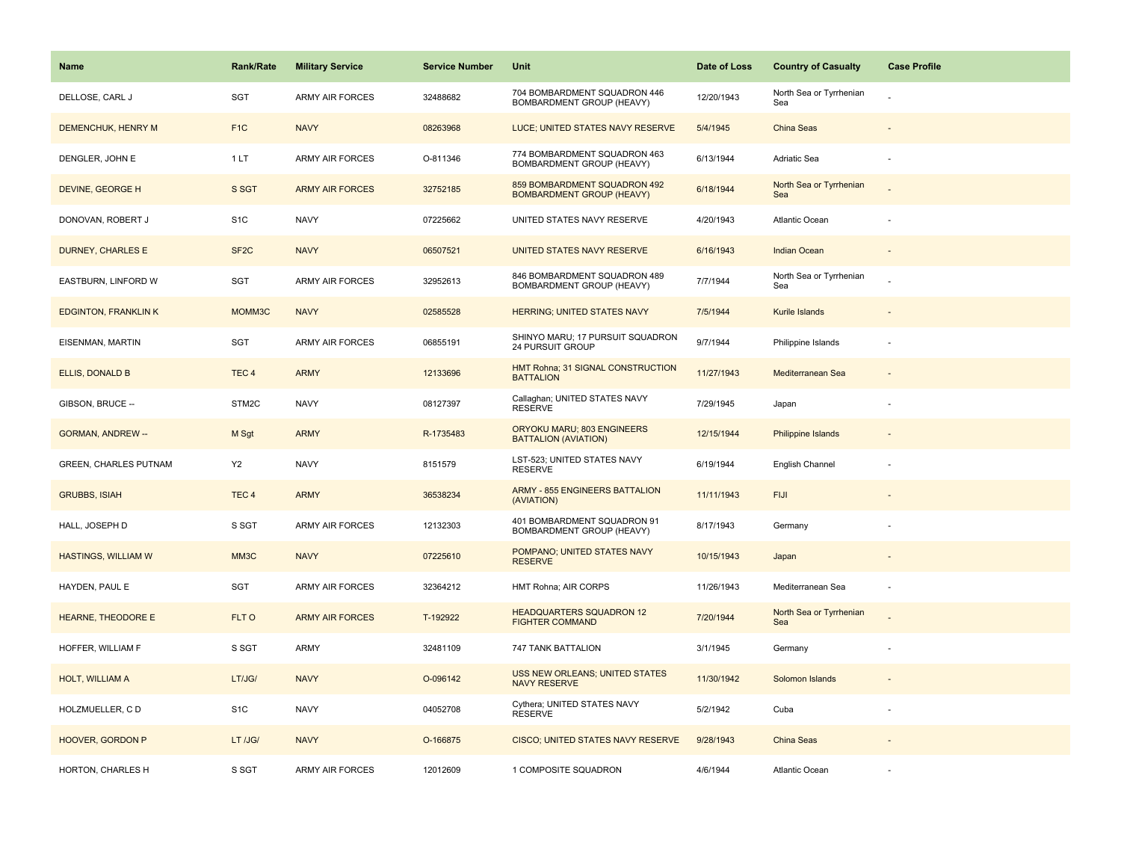| <b>Name</b>                  | <b>Rank/Rate</b>  | <b>Military Service</b> | <b>Service Number</b> | Unit                                                             | Date of Loss | <b>Country of Casualty</b>     | <b>Case Profile</b> |
|------------------------------|-------------------|-------------------------|-----------------------|------------------------------------------------------------------|--------------|--------------------------------|---------------------|
| DELLOSE, CARL J              | SGT               | <b>ARMY AIR FORCES</b>  | 32488682              | 704 BOMBARDMENT SQUADRON 446<br>BOMBARDMENT GROUP (HEAVY)        | 12/20/1943   | North Sea or Tyrrhenian<br>Sea |                     |
| DEMENCHUK, HENRY M           | F <sub>1C</sub>   | <b>NAVY</b>             | 08263968              | LUCE; UNITED STATES NAVY RESERVE                                 | 5/4/1945     | China Seas                     |                     |
| DENGLER, JOHN E              | 1LT               | <b>ARMY AIR FORCES</b>  | O-811346              | 774 BOMBARDMENT SQUADRON 463<br>BOMBARDMENT GROUP (HEAVY)        | 6/13/1944    | <b>Adriatic Sea</b>            |                     |
| DEVINE, GEORGE H             | S SGT             | <b>ARMY AIR FORCES</b>  | 32752185              | 859 BOMBARDMENT SQUADRON 492<br><b>BOMBARDMENT GROUP (HEAVY)</b> | 6/18/1944    | North Sea or Tyrrhenian<br>Sea |                     |
| DONOVAN, ROBERT J            | S <sub>1</sub> C  | <b>NAVY</b>             | 07225662              | UNITED STATES NAVY RESERVE                                       | 4/20/1943    | Atlantic Ocean                 |                     |
| <b>DURNEY, CHARLES E</b>     | SF <sub>2</sub> C | <b>NAVY</b>             | 06507521              | UNITED STATES NAVY RESERVE                                       | 6/16/1943    | Indian Ocean                   |                     |
| EASTBURN, LINFORD W          | SGT               | <b>ARMY AIR FORCES</b>  | 32952613              | 846 BOMBARDMENT SQUADRON 489<br>BOMBARDMENT GROUP (HEAVY)        | 7/7/1944     | North Sea or Tyrrhenian<br>Sea |                     |
| <b>EDGINTON, FRANKLIN K</b>  | MOMM3C            | <b>NAVY</b>             | 02585528              | <b>HERRING; UNITED STATES NAVY</b>                               | 7/5/1944     | Kurile Islands                 |                     |
| EISENMAN, MARTIN             | SGT               | <b>ARMY AIR FORCES</b>  | 06855191              | SHINYO MARU; 17 PURSUIT SQUADRON<br>24 PURSUIT GROUP             | 9/7/1944     | Philippine Islands             |                     |
| ELLIS, DONALD B              | TEC <sub>4</sub>  | <b>ARMY</b>             | 12133696              | HMT Rohna; 31 SIGNAL CONSTRUCTION<br><b>BATTALION</b>            | 11/27/1943   | Mediterranean Sea              |                     |
| GIBSON, BRUCE --             | STM2C             | <b>NAVY</b>             | 08127397              | Callaghan; UNITED STATES NAVY<br><b>RESERVE</b>                  | 7/29/1945    | Japan                          |                     |
| <b>GORMAN, ANDREW --</b>     | M Sgt             | <b>ARMY</b>             | R-1735483             | ORYOKU MARU; 803 ENGINEERS<br><b>BATTALION (AVIATION)</b>        | 12/15/1944   | Philippine Islands             |                     |
| <b>GREEN, CHARLES PUTNAM</b> | Y <sub>2</sub>    | <b>NAVY</b>             | 8151579               | LST-523; UNITED STATES NAVY<br><b>RESERVE</b>                    | 6/19/1944    | English Channel                |                     |
| <b>GRUBBS, ISIAH</b>         | TEC <sub>4</sub>  | <b>ARMY</b>             | 36538234              | <b>ARMY - 855 ENGINEERS BATTALION</b><br>(AVIATION)              | 11/11/1943   | <b>FIJI</b>                    |                     |
| HALL, JOSEPH D               | S SGT             | <b>ARMY AIR FORCES</b>  | 12132303              | 401 BOMBARDMENT SQUADRON 91<br>BOMBARDMENT GROUP (HEAVY)         | 8/17/1943    | Germany                        |                     |
| <b>HASTINGS, WILLIAM W</b>   | MM3C              | <b>NAVY</b>             | 07225610              | POMPANO; UNITED STATES NAVY<br><b>RESERVE</b>                    | 10/15/1943   | Japan                          |                     |
| HAYDEN, PAUL E               | SGT               | <b>ARMY AIR FORCES</b>  | 32364212              | HMT Rohna; AIR CORPS                                             | 11/26/1943   | Mediterranean Sea              |                     |
| <b>HEARNE, THEODORE E</b>    | FLT O             | <b>ARMY AIR FORCES</b>  | T-192922              | <b>HEADQUARTERS SQUADRON 12</b><br><b>FIGHTER COMMAND</b>        | 7/20/1944    | North Sea or Tyrrhenian<br>Sea |                     |
| HOFFER, WILLIAM F            | S SGT             | <b>ARMY</b>             | 32481109              | 747 TANK BATTALION                                               | 3/1/1945     | Germany                        |                     |
| HOLT, WILLIAM A              | LT/JG/            | <b>NAVY</b>             | O-096142              | USS NEW ORLEANS; UNITED STATES<br><b>NAVY RESERVE</b>            | 11/30/1942   | Solomon Islands                |                     |
| HOLZMUELLER, CD              | S <sub>1</sub> C  | <b>NAVY</b>             | 04052708              | Cythera; UNITED STATES NAVY<br><b>RESERVE</b>                    | 5/2/1942     | Cuba                           |                     |
| HOOVER, GORDON P             | LT /JG/           | <b>NAVY</b>             | O-166875              | CISCO; UNITED STATES NAVY RESERVE                                | 9/28/1943    | China Seas                     |                     |
| HORTON, CHARLES H            | S SGT             | <b>ARMY AIR FORCES</b>  | 12012609              | 1 COMPOSITE SQUADRON                                             | 4/6/1944     | <b>Atlantic Ocean</b>          |                     |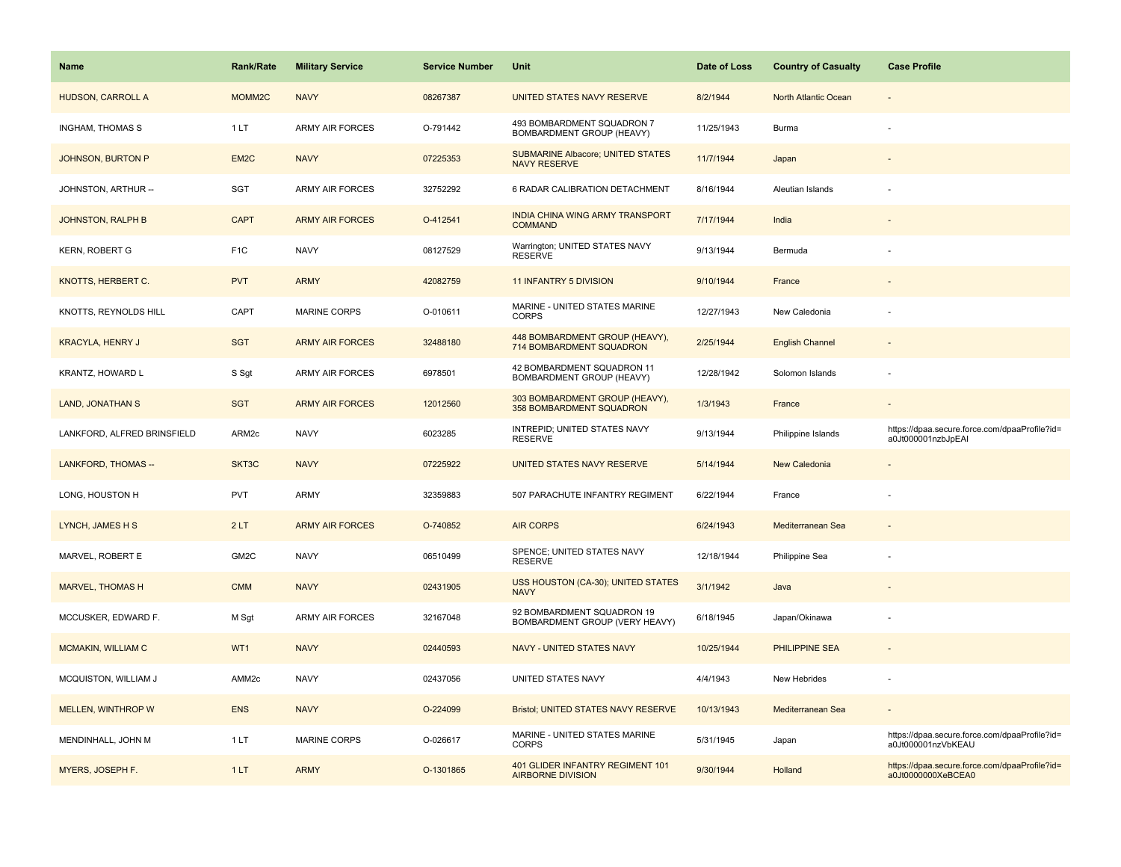| <b>Name</b>                 | <b>Rank/Rate</b>  | <b>Military Service</b> | <b>Service Number</b> | Unit                                                            | Date of Loss | <b>Country of Casualty</b> | <b>Case Profile</b>                                                 |
|-----------------------------|-------------------|-------------------------|-----------------------|-----------------------------------------------------------------|--------------|----------------------------|---------------------------------------------------------------------|
| HUDSON, CARROLL A           | MOMM2C            | <b>NAVY</b>             | 08267387              | UNITED STATES NAVY RESERVE                                      | 8/2/1944     | North Atlantic Ocean       |                                                                     |
| <b>INGHAM, THOMAS S</b>     | 1LT               | <b>ARMY AIR FORCES</b>  | O-791442              | 493 BOMBARDMENT SQUADRON 7<br>BOMBARDMENT GROUP (HEAVY)         | 11/25/1943   | Burma                      |                                                                     |
| <b>JOHNSON, BURTON P</b>    | EM2C              | <b>NAVY</b>             | 07225353              | <b>SUBMARINE Albacore; UNITED STATES</b><br><b>NAVY RESERVE</b> | 11/7/1944    | Japan                      |                                                                     |
| JOHNSTON, ARTHUR --         | SGT               | <b>ARMY AIR FORCES</b>  | 32752292              | 6 RADAR CALIBRATION DETACHMENT                                  | 8/16/1944    | Aleutian Islands           |                                                                     |
| JOHNSTON, RALPH B           | <b>CAPT</b>       | <b>ARMY AIR FORCES</b>  | O-412541              | INDIA CHINA WING ARMY TRANSPORT<br><b>COMMAND</b>               | 7/17/1944    | India                      |                                                                     |
| <b>KERN, ROBERT G</b>       | F <sub>1</sub> C  | <b>NAVY</b>             | 08127529              | Warrington; UNITED STATES NAVY<br><b>RESERVE</b>                | 9/13/1944    | Bermuda                    |                                                                     |
| KNOTTS, HERBERT C.          | <b>PVT</b>        | <b>ARMY</b>             | 42082759              | <b>11 INFANTRY 5 DIVISION</b>                                   | 9/10/1944    | France                     |                                                                     |
| KNOTTS, REYNOLDS HILL       | CAPT              | <b>MARINE CORPS</b>     | O-010611              | MARINE - UNITED STATES MARINE<br><b>CORPS</b>                   | 12/27/1943   | New Caledonia              |                                                                     |
| <b>KRACYLA, HENRY J</b>     | <b>SGT</b>        | <b>ARMY AIR FORCES</b>  | 32488180              | 448 BOMBARDMENT GROUP (HEAVY),<br>714 BOMBARDMENT SQUADRON      | 2/25/1944    | <b>English Channel</b>     |                                                                     |
| KRANTZ, HOWARD L            | S Sgt             | <b>ARMY AIR FORCES</b>  | 6978501               | 42 BOMBARDMENT SQUADRON 11<br>BOMBARDMENT GROUP (HEAVY)         | 12/28/1942   | Solomon Islands            |                                                                     |
| <b>LAND, JONATHAN S</b>     | <b>SGT</b>        | <b>ARMY AIR FORCES</b>  | 12012560              | 303 BOMBARDMENT GROUP (HEAVY),<br>358 BOMBARDMENT SQUADRON      | 1/3/1943     | France                     |                                                                     |
| LANKFORD, ALFRED BRINSFIELD | ARM2c             | <b>NAVY</b>             | 6023285               | INTREPID; UNITED STATES NAVY<br><b>RESERVE</b>                  | 9/13/1944    | Philippine Islands         | https://dpaa.secure.force.com/dpaaProfile?id=<br>a0Jt000001nzbJpEAI |
| <b>LANKFORD, THOMAS --</b>  | SKT3C             | <b>NAVY</b>             | 07225922              | UNITED STATES NAVY RESERVE                                      | 5/14/1944    | New Caledonia              |                                                                     |
| LONG, HOUSTON H             | <b>PVT</b>        | ARMY                    | 32359883              | 507 PARACHUTE INFANTRY REGIMENT                                 | 6/22/1944    | France                     |                                                                     |
| LYNCH, JAMES H S            | 2LT               | <b>ARMY AIR FORCES</b>  | O-740852              | <b>AIR CORPS</b>                                                | 6/24/1943    | Mediterranean Sea          |                                                                     |
| MARVEL, ROBERT E            | GM2C              | <b>NAVY</b>             | 06510499              | SPENCE; UNITED STATES NAVY<br><b>RESERVE</b>                    | 12/18/1944   | Philippine Sea             |                                                                     |
| <b>MARVEL, THOMAS H</b>     | <b>CMM</b>        | <b>NAVY</b>             | 02431905              | <b>USS HOUSTON (CA-30); UNITED STATES</b><br><b>NAVY</b>        | 3/1/1942     | Java                       |                                                                     |
| MCCUSKER, EDWARD F.         | M Sgt             | <b>ARMY AIR FORCES</b>  | 32167048              | 92 BOMBARDMENT SQUADRON 19<br>BOMBARDMENT GROUP (VERY HEAVY)    | 6/18/1945    | Japan/Okinawa              |                                                                     |
| MCMAKIN, WILLIAM C          | WT1               | <b>NAVY</b>             | 02440593              | <b>NAVY - UNITED STATES NAVY</b>                                | 10/25/1944   | PHILIPPINE SEA             |                                                                     |
| MCQUISTON, WILLIAM J        | AMM <sub>2c</sub> | <b>NAVY</b>             | 02437056              | UNITED STATES NAVY                                              | 4/4/1943     | New Hebrides               |                                                                     |
| <b>MELLEN, WINTHROP W</b>   | <b>ENS</b>        | <b>NAVY</b>             | O-224099              | Bristol; UNITED STATES NAVY RESERVE                             | 10/13/1943   | Mediterranean Sea          |                                                                     |
| MENDINHALL, JOHN M          | 1LT               | <b>MARINE CORPS</b>     | O-026617              | MARINE - UNITED STATES MARINE<br><b>CORPS</b>                   | 5/31/1945    | Japan                      | https://dpaa.secure.force.com/dpaaProfile?id=<br>a0Jt000001nzVbKEAU |
| MYERS, JOSEPH F.            | 1LT               | <b>ARMY</b>             | O-1301865             | 401 GLIDER INFANTRY REGIMENT 101<br><b>AIRBORNE DIVISION</b>    | 9/30/1944    | Holland                    | https://dpaa.secure.force.com/dpaaProfile?id=<br>a0Jt0000000XeBCEA0 |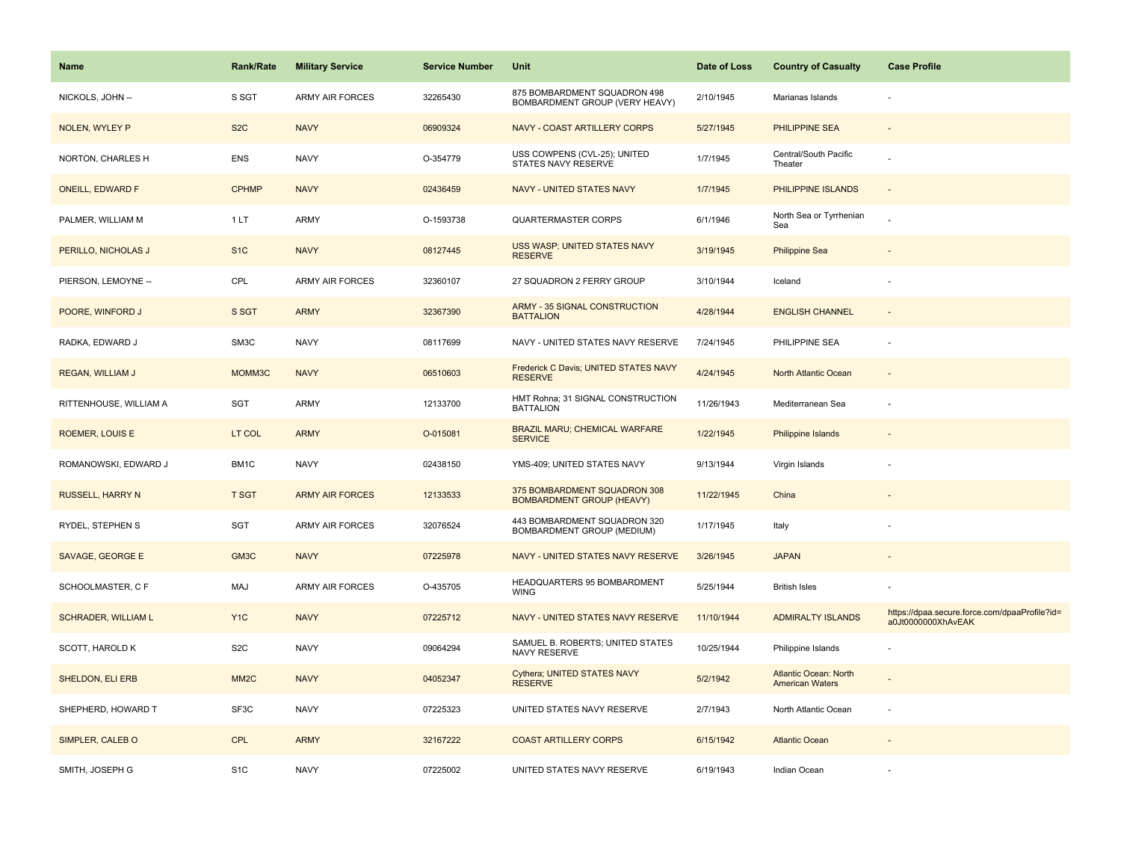| Name                       | <b>Rank/Rate</b>  | <b>Military Service</b> | <b>Service Number</b> | Unit                                                             | Date of Loss | <b>Country of Casualty</b>                             | <b>Case Profile</b>                                                 |
|----------------------------|-------------------|-------------------------|-----------------------|------------------------------------------------------------------|--------------|--------------------------------------------------------|---------------------------------------------------------------------|
| NICKOLS, JOHN --           | S SGT             | <b>ARMY AIR FORCES</b>  | 32265430              | 875 BOMBARDMENT SQUADRON 498<br>BOMBARDMENT GROUP (VERY HEAVY)   | 2/10/1945    | Marianas Islands                                       |                                                                     |
| <b>NOLEN, WYLEY P</b>      | S <sub>2</sub> C  | <b>NAVY</b>             | 06909324              | NAVY - COAST ARTILLERY CORPS                                     | 5/27/1945    | <b>PHILIPPINE SEA</b>                                  |                                                                     |
| NORTON, CHARLES H          | <b>ENS</b>        | <b>NAVY</b>             | O-354779              | USS COWPENS (CVL-25); UNITED<br>STATES NAVY RESERVE              | 1/7/1945     | Central/South Pacific<br>Theater                       |                                                                     |
| <b>ONEILL, EDWARD F</b>    | <b>CPHMP</b>      | <b>NAVY</b>             | 02436459              | NAVY - UNITED STATES NAVY                                        | 1/7/1945     | PHILIPPINE ISLANDS                                     |                                                                     |
| PALMER, WILLIAM M          | 1LT               | ARMY                    | O-1593738             | <b>QUARTERMASTER CORPS</b>                                       | 6/1/1946     | North Sea or Tyrrhenian<br>Sea                         |                                                                     |
| PERILLO, NICHOLAS J        | S <sub>1</sub> C  | <b>NAVY</b>             | 08127445              | USS WASP; UNITED STATES NAVY<br><b>RESERVE</b>                   | 3/19/1945    | <b>Philippine Sea</b>                                  |                                                                     |
| PIERSON, LEMOYNE --        | CPL               | <b>ARMY AIR FORCES</b>  | 32360107              | 27 SQUADRON 2 FERRY GROUP                                        | 3/10/1944    | Iceland                                                |                                                                     |
| POORE, WINFORD J           | S SGT             | <b>ARMY</b>             | 32367390              | ARMY - 35 SIGNAL CONSTRUCTION<br><b>BATTALION</b>                | 4/28/1944    | <b>ENGLISH CHANNEL</b>                                 |                                                                     |
| RADKA, EDWARD J            | SM3C              | <b>NAVY</b>             | 08117699              | NAVY - UNITED STATES NAVY RESERVE                                | 7/24/1945    | PHILIPPINE SEA                                         |                                                                     |
| REGAN, WILLIAM J           | MOMM3C            | <b>NAVY</b>             | 06510603              | Frederick C Davis; UNITED STATES NAVY<br><b>RESERVE</b>          | 4/24/1945    | North Atlantic Ocean                                   |                                                                     |
| RITTENHOUSE, WILLIAM A     | SGT               | ARMY                    | 12133700              | HMT Rohna; 31 SIGNAL CONSTRUCTION<br><b>BATTALION</b>            | 11/26/1943   | Mediterranean Sea                                      |                                                                     |
| <b>ROEMER, LOUIS E</b>     | LT COL            | <b>ARMY</b>             | O-015081              | BRAZIL MARU; CHEMICAL WARFARE<br><b>SERVICE</b>                  | 1/22/1945    | Philippine Islands                                     |                                                                     |
| ROMANOWSKI, EDWARD J       | BM1C              | <b>NAVY</b>             | 02438150              | YMS-409; UNITED STATES NAVY                                      | 9/13/1944    | Virgin Islands                                         |                                                                     |
| <b>RUSSELL, HARRY N</b>    | <b>T SGT</b>      | <b>ARMY AIR FORCES</b>  | 12133533              | 375 BOMBARDMENT SQUADRON 308<br><b>BOMBARDMENT GROUP (HEAVY)</b> | 11/22/1945   | China                                                  |                                                                     |
| RYDEL, STEPHEN S           | SGT               | ARMY AIR FORCES         | 32076524              | 443 BOMBARDMENT SQUADRON 320<br>BOMBARDMENT GROUP (MEDIUM)       | 1/17/1945    | Italy                                                  |                                                                     |
| <b>SAVAGE, GEORGE E</b>    | GM3C              | <b>NAVY</b>             | 07225978              | NAVY - UNITED STATES NAVY RESERVE                                | 3/26/1945    | <b>JAPAN</b>                                           |                                                                     |
| SCHOOLMASTER, C F          | MAJ               | <b>ARMY AIR FORCES</b>  | O-435705              | HEADQUARTERS 95 BOMBARDMENT<br><b>WING</b>                       | 5/25/1944    | <b>British Isles</b>                                   |                                                                     |
| <b>SCHRADER, WILLIAM L</b> | Y <sub>1C</sub>   | <b>NAVY</b>             | 07225712              | NAVY - UNITED STATES NAVY RESERVE                                | 11/10/1944   | <b>ADMIRALTY ISLANDS</b>                               | https://dpaa.secure.force.com/dpaaProfile?id=<br>a0Jt0000000XhAvEAK |
| SCOTT, HAROLD K            | S <sub>2</sub> C  | <b>NAVY</b>             | 09064294              | SAMUEL B. ROBERTS; UNITED STATES<br>NAVY RESERVE                 | 10/25/1944   | Philippine Islands                                     |                                                                     |
| SHELDON, ELI ERB           | MM <sub>2</sub> C | <b>NAVY</b>             | 04052347              | Cythera; UNITED STATES NAVY<br><b>RESERVE</b>                    | 5/2/1942     | <b>Atlantic Ocean: North</b><br><b>American Waters</b> |                                                                     |
| SHEPHERD, HOWARD T         | SF3C              | <b>NAVY</b>             | 07225323              | UNITED STATES NAVY RESERVE                                       | 2/7/1943     | North Atlantic Ocean                                   |                                                                     |
| SIMPLER, CALEB O           | <b>CPL</b>        | <b>ARMY</b>             | 32167222              | <b>COAST ARTILLERY CORPS</b>                                     | 6/15/1942    | <b>Atlantic Ocean</b>                                  |                                                                     |
| SMITH, JOSEPH G            | S <sub>1</sub> C  | <b>NAVY</b>             | 07225002              | UNITED STATES NAVY RESERVE                                       | 6/19/1943    | Indian Ocean                                           |                                                                     |